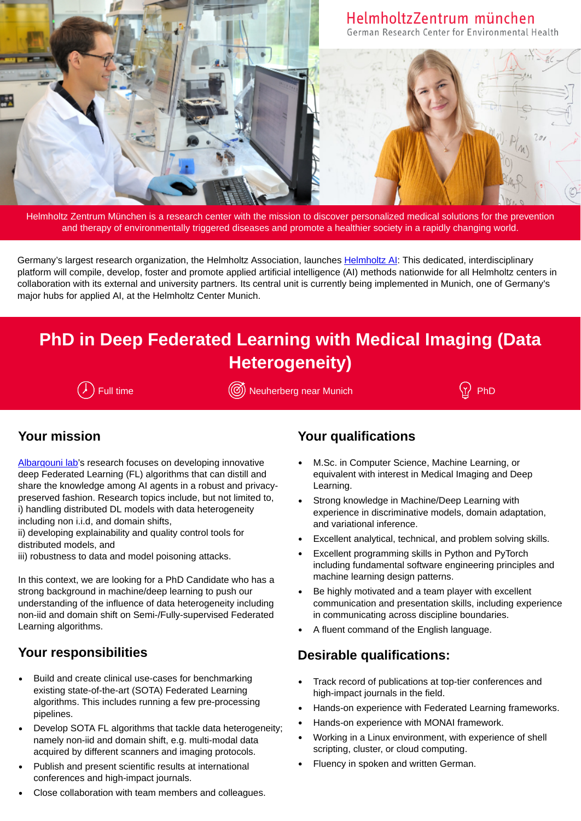

Helmholtz Zentrum München is a research center with the mission to discover personalized medical solutions for the prevention and therapy of environmentally triggered diseases and promote a healthier society in a rapidly changing world.

Germany's largest research organization, the Helmholtz Association, launches Helmholtz AI: This dedicated, interdisciplinary platform will compile, develop, foster and promote applied artificial intelligence (AI) methods nationwide for all Helmholtz centers in collaboration with its external and university partners. Its central unit is currently being implemented in Munich, one of Germany's major hubs for applied AI, at the Helmholtz Center Munich.

# **PhD in Deep Federated Learning with Medical Imaging (Data Heterogeneity)**



Full time  $\qquad \qquad \textcircled{}$  Neuherberg near Munich PhD

## **Your mission**

[Albarqouni](https://www.helmholtz.ai/themenmenue/our-research/research-groups/albarqouni-group/index.html) lab's research focuses on developing innovative deep Federated Learning (FL) algorithms that can distill and share the knowledge among AI agents in a robust and privacypreserved fashion. Research topics include, but not limited to, i) handling distributed DL models with data heterogeneity including non i.i.d, and domain shifts,

ii) developing explainability and quality control tools for distributed models, and

iii) robustness to data and model poisoning attacks.

In this context, we are looking for a PhD Candidate who has a strong background in machine/deep learning to push our understanding of the influence of data heterogeneity including non-iid and domain shift on Semi-/Fully-supervised Federated Learning algorithms.

### **Your responsibilities**

- Build and create clinical use-cases for benchmarking existing state-of-the-art (SOTA) Federated Learning algorithms. This includes running a few pre-processing pipelines.
- Develop SOTA FL algorithms that tackle data heterogeneity; namely non-iid and domain shift, e.g. multi-modal data acquired by different scanners and imaging protocols.
- Publish and present scientific results at international conferences and high-impact journals.
- Close collaboration with team members and colleagues.

# **Your qualifications**

- M.Sc. in Computer Science, Machine Learning, or equivalent with interest in Medical Imaging and Deep Learning.
- Strong knowledge in Machine/Deep Learning with experience in discriminative models, domain adaptation, and variational inference.
- Excellent analytical, technical, and problem solving skills.
- Excellent programming skills in Python and PyTorch including fundamental software engineering principles and machine learning design patterns.
- Be highly motivated and a team player with excellent communication and presentation skills, including experience in communicating across discipline boundaries.
- A fluent command of the English language.

## **Desirable qualifications:**

- Track record of publications at top-tier conferences and high-impact journals in the field.
- Hands-on experience with Federated Learning frameworks.
- Hands-on experience with MONAI framework.
- Working in a Linux environment, with experience of shell scripting, cluster, or cloud computing.
- Fluency in spoken and written German.